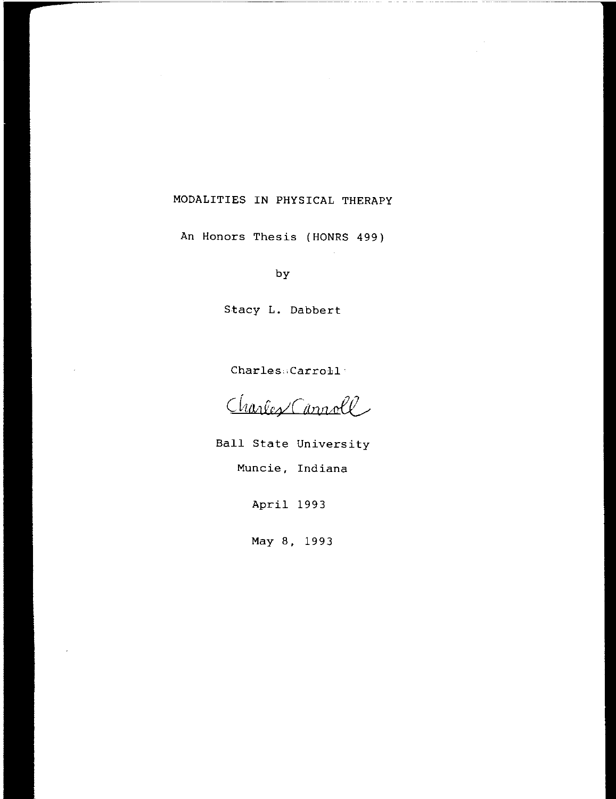# MODALITIES **IN** PHYSICAL THERAPY

 $\sim$ 

An Honors Thesis (HONRS 499)

by

Stacy **L.** Dabbert

Charles: Carroll<sup>-</sup>

Charles Cannoll

Ball State University Muncie, Indiana

April 1993

May 8, 1993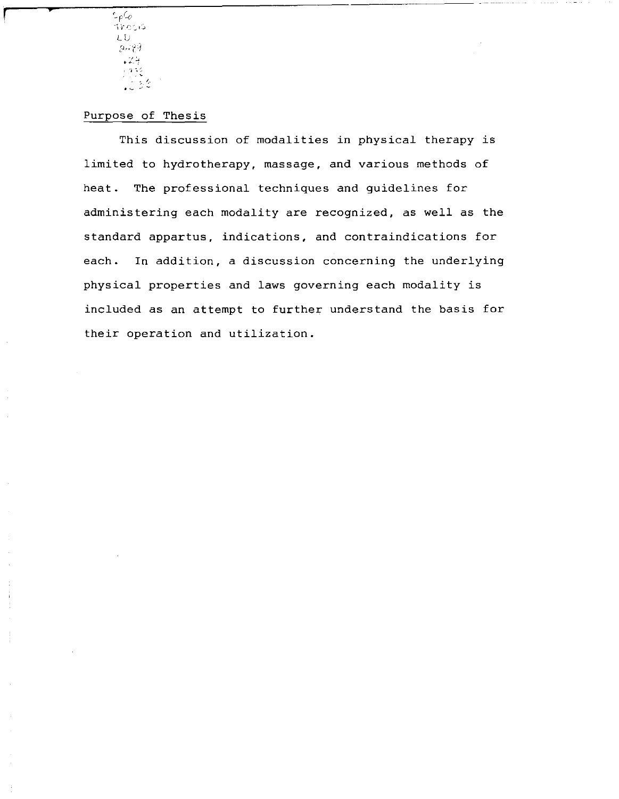*r\_e*Co  $T$ i $c$ :  $G$ L. U  $2,7$  $\sqrt{2}$ ្រុក ខេត្ត  $\frac{1}{2}$  ,  $\frac{1}{2}$  ,  $\frac{1}{2}$ 

**r p** 

# Purpose of Thesis

This discussion of modalities in physical therapy is limited to hydrotherapy, massage, and various methods of heat. The professional techniques and guidelines for administering each modality are recognized, as well as the standard appartus, indications, and contraindications for each. In addition, a discussion concerning the underlying physical properties and laws governing each modality is included as an attempt to further understand the basis for their operation and utilization.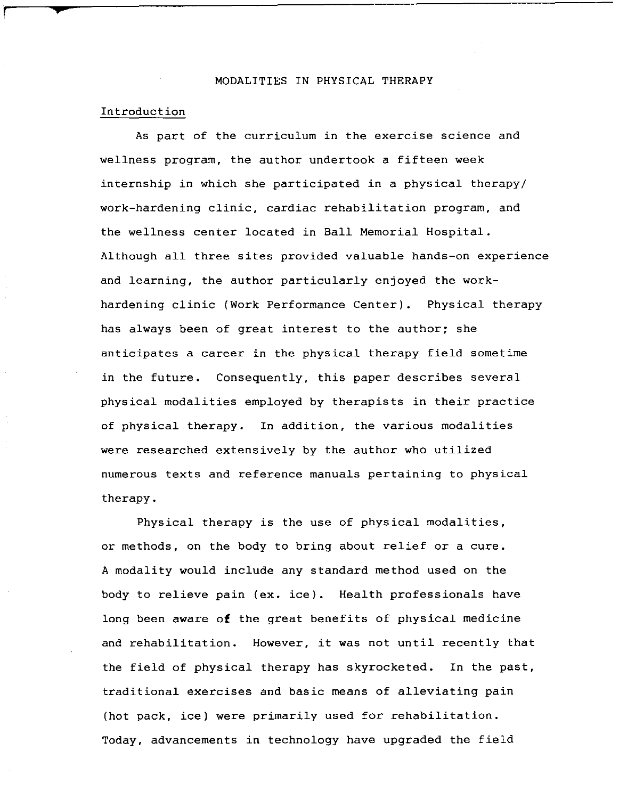### MODALITIES IN PHYSICAL THERAPY

### Introduction

As part of the curriculum in the exercise science and wellness program, the author undertook a fifteen week internship in which she participated in a physical therapy/ work-hardening clinic, cardiac rehabilitation program, and the wellness center located in Ball Memorial Hospital. Although all three sites provided valuable hands-on experience and learning, the author particularly enjoyed the workhardening clinic (Work Performance Center). Physical therapy has always been of great interest to the author; she anticipates a career in the physical therapy field sometime in the future. Consequently, this paper describes several physical modalities employed by therapists in their practice of physical therapy. In addition, the various modalities were researched extensively by the author who utilized numerous texts and reference manuals pertaining to physical therapy.

Physical therapy is the use of physical modalities, or methods, on the body to bring about relief or a cure. A modality would include any standard method used on the body to relieve pain (ex. ice). Health professionals have long been aware **of** the great benefits of physical medicine and rehabilitation. However, it was not until recently that the field of physical therapy has skyrocketed. In the past, traditional exercises and basic means of alleviating pain (hot pack, ice) were primarily used for rehabilitation. Today, advancements in technology have upgraded the field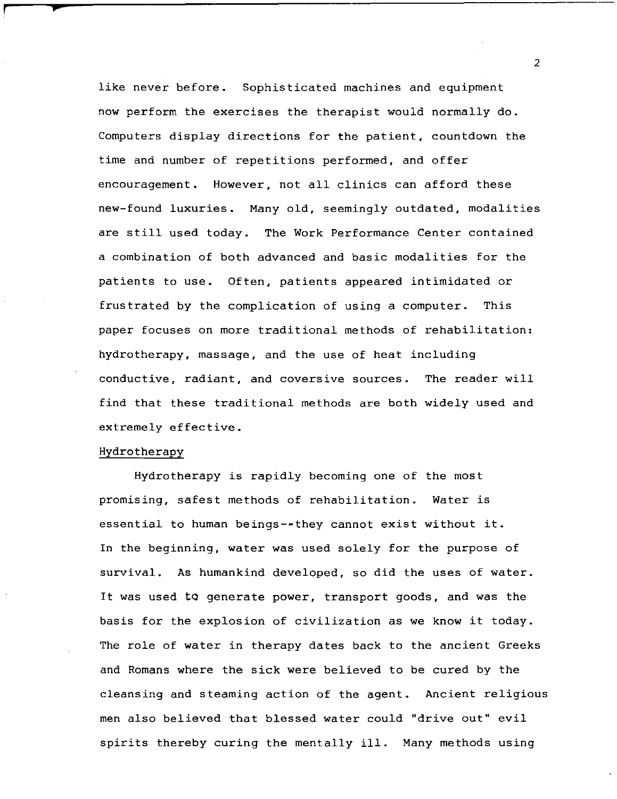like never before. Sophisticated machines and equipment now perform the exercises the therapist would normally do. Computers display directions for the patient, countdown the time and number of repetitions performed, and offer encouragement. However, not all clinics can afford these new-found luxuries. Many old, seemingly outdated, modalities are still used today. The Work Performance Center contained a combination of both advanced and basic modalities for the patients to use. Often, patients appeared intimidated or frustrated by the complication of using a computer. This paper focuses on more traditional methods of rehabilitation: hydrotherapy, massage, and the use of heat including conductive, radiant, and coversive sources. The reader will find that these traditional methods are both widely used and extremely effective.

### Hydrotherapy

*f*  $\frac{1}{2}$ 

Hydrotherapy is rapidly becoming one of the most promising, safest methods of rehabilitation. Water is essential to human beings--they cannot exist without it. In the beginning, water was used solely for the purpose of survival. As humankind developed, so did the uses of water. It was used to generate power, transport goods, and was the basis for the explosion of civilization as we know it today. The role of water in therapy dates back to the ancient Greeks and Romans where the sick were believed to be cured by the cleansing and steaming action of the agent. Ancient religious men also believed that blessed water could "drive out" evil spirits thereby curing the mentally ill. Many methods using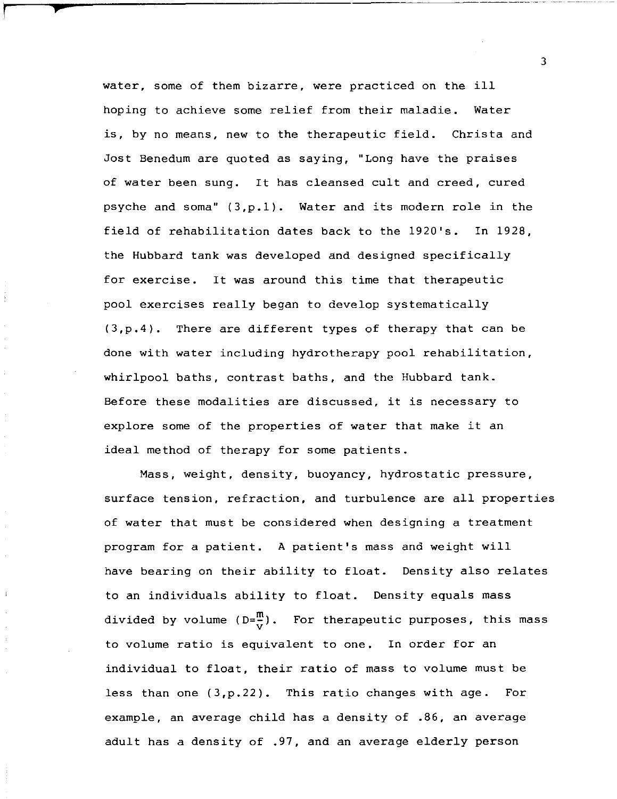water, some of them bizarre, were practiced on the ill hoping to achieve some relief from their maladie. Water is, by no means, new to the therapeutic field. Christa and Jost Benedum are quoted as saying, "Long have the praises of water been sung. It has cleansed cult and creed, cured psyche and soma" (3,p.1). Water and its modern role in the field of rehabilitation dates back to the 1920's. In 1928, the Hubbard tank was developed and designed specifically for exercise. It was around this time that therapeutic pool exercises really began to develop systematically (3,p.4). There are different types of therapy that can be done with water including hydrotherapy pool rehabilitation, whirlpool baths, contrast baths, and the Hubbard tank. Before these modalities are discussed, it is necessary to explore some of the properties of water that make it an ideal method of therapy for some patients.

**p** 

Mass, weight, density, buoyancy, hydrostatic pressure, surface tension, refraction, and turbulence are all properties of water that must be considered when designing a treatment program for a patient. A patient's mass and weight will have bearing on their ability to float. Density also relates to an individuals ability to float. Density equals mass divided by volume (D= $\frac{m}{v}$ ). For therapeutic purposes, this mass to volume ratio is equivalent to one. In order for an individual to float, their ratio of mass to volume must be less than one (3,p.22). This ratio changes with age. For example, an average child has a density of .86, an average adult has a density of .97, and an average elderly person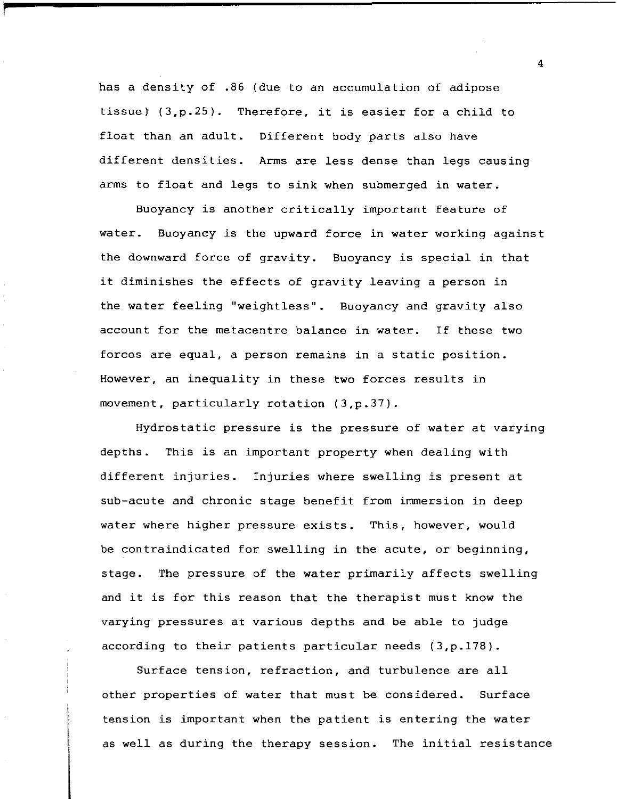has a density of .86 (due to an accumulation of adipose tissue) (3,p.25). Therefore, it is easier for a child to float than an adult. Different body parts also have different densities. Arms are less dense than legs causing arms to float and legs to sink when submerged in water.

**f** 

Buoyancy is another critically important feature of water. Buoyancy is the upward force in water working against the downward force of gravity. Buoyancy is special in that it diminishes the effects of gravity leaving a person in the water feeling "weightless". Buoyancy and gravity also account for the metacentre balance in water. If these two forces are equal, a person remains in a static position. However, an inequality in these two forces results in movement, particularly rotation (3,p.37).

Hydrostatic pressure is the pressure of water at varying depths. This is an important property when dealing with different injuries. Injuries where swelling is present at sub-acute and chronic stage benefit from immersion in deep water where higher pressure exists. This, however, would be contraindicated for swelling in the acute, or beginning, stage. The pressure of the water primarily affects swelling and it is for this reason that the therapist must know the varying pressures at various depths and be able to judge according to their patients particular needs (3,p.178).

Surface tension, refraction, and turbulence are all other properties of water that must be considered. Surface tension is important when the patient is entering the water as well as during the therapy session. The initial resistance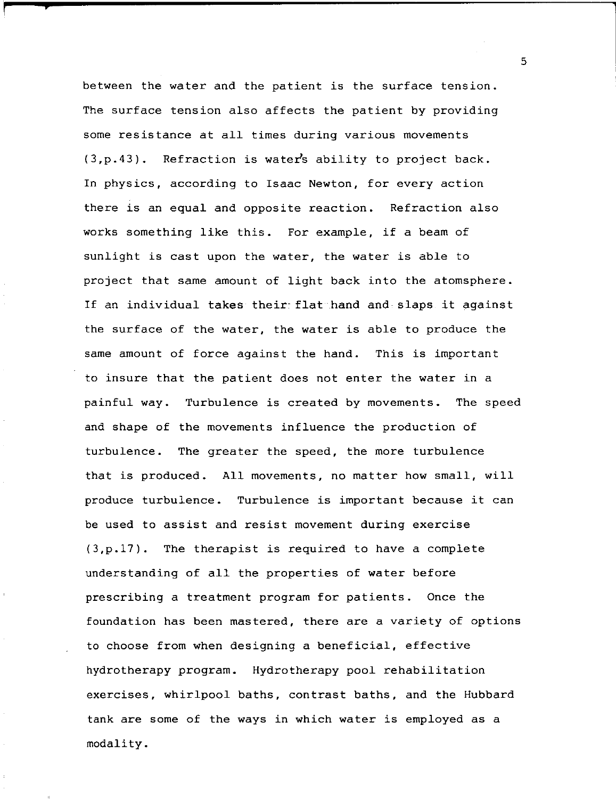between the water and the patient is the surface tension. The surface tension also affects the patient by providing some resistance at all times during various movements  $(3,p.43)$ . Refraction is water's ability to project back. In physics, according to Isaac Newton, for every action there is an equal and opposite reaction. Refraction also works something like this. For example, if a beam of sunlight is cast upon the water, the water is able to project that same amount of light back into the atomsphere. If an individual takes their-flat hand and slaps it against the surface of the water, the water is able to produce the same amount of force against the hand. This is important to insure that the patient does not enter the water in a painful way. Turbulence is created by movements. The speed and shape of the movements influence the production of turbulence. The greater the speed, the more turbulence that is produced. All movements, no matter how small, will produce turbulence. Turbulence is important because it can be used to assist and resist movement during exercise (3,p.17). The therapist is required to have a complete understanding of all the properties of water before prescribing a treatment program for patients. Once the foundation has been mastered, there are a variety of options to choose from when designing a beneficial, effective hydrotherapy program. Hydrotherapy pool rehabilitation exercises, whirlpool baths, contrast baths, and the Hubbard tank are some of the ways in which water is employed as a modality.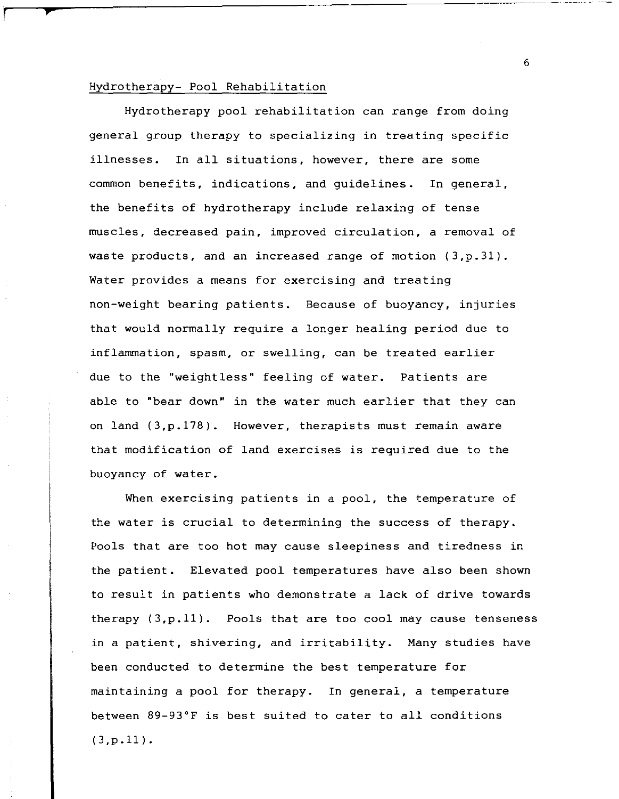### Hydrotherapy- Pool Rehabilitation

r **,.** 

Hydrotherapy pool rehabilitation can range from doing general group therapy to specializing in treating specific illnesses. In all situations, however, there are some common benefits, indications, and guidelines. In general, the benefits of hydrotherapy include relaxing of tense muscles, decreased pain, improved circulation, a removal of waste products, and an increased range of motion {3,p.3l}. Water provides a means for exercising and treating non-weight bearing patients. Because of buoyancy, injuries that would normally require a longer healing period due to inflammation, spasm, or swelling, can be treated earlier due to the "weightless" feeling of water. Patients are able to "bear down" in the water much earlier that they can on land {3,p.178}. However, therapists must remain aware that modification of land exercises is required due to the buoyancy of water.

When exercising patients in a pool, the temperature of the water is crucial to determining the success of therapy. Pools that are too hot may cause sleepiness and tiredness in the patient. Elevated pool temperatures have also been shown to result in patients who demonstrate a lack of drive towards therapy {3,p.ll}. Pools that are too cool may cause tenseness in a patient, shivering, and irritability. Many studies have been conducted to determine the best temperature for maintaining a pool for therapy. In general, a temperature between 89-93°F is best suited to cater to all conditions  $(3,p.11).$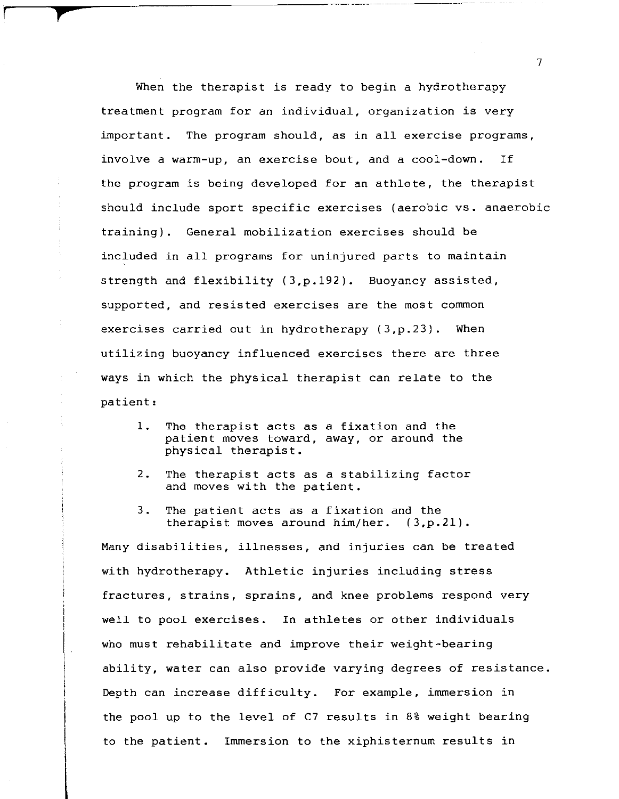When the therapist is ready to begin a hydrotherapy treatment program for an individual, organization is very important. The program should, as in all exercise programs, involve a warm-up, an exercise bout, and a cool-down. If the program is being developed for an athlete, the therapist should include sport specific exercises (aerobic vs. anaerobic training). General mobilization exercises should be included in all programs for uninjured parts to maintain strength and flexibility (3,p.192). Buoyancy assisted, supported, and resisted exercises are the most common exercises carried out in hydrotherapy (3,p.23). When utilizing buoyancy influenced exercises there are three ways in which the physical therapist can relate to the patient:

**r f** 

- 1. The therapist acts as a fixation and the patient moves toward, away, or around the physical therapist.
- 2. The therapist acts as a stabilizing factor and moves with the patient.
- 3. The patient acts as a fixation and the therapist moves around him/her. (3,p.21).

Many disabilities, illnesses, and injuries can be treated with hydrotherapy. Athletic injuries including stress fractures, strains, sprains, and knee problems respond very well to pool exercises. In athletes or other individuals who must rehabilitate and improve their weight-bearing ability, water can also provide varying degrees of resistance. Depth can increase difficulty. For example, immersion in the pool up to the level of C7 results in 8% weight bearing to the patient. Immersion to the xiphisternum results in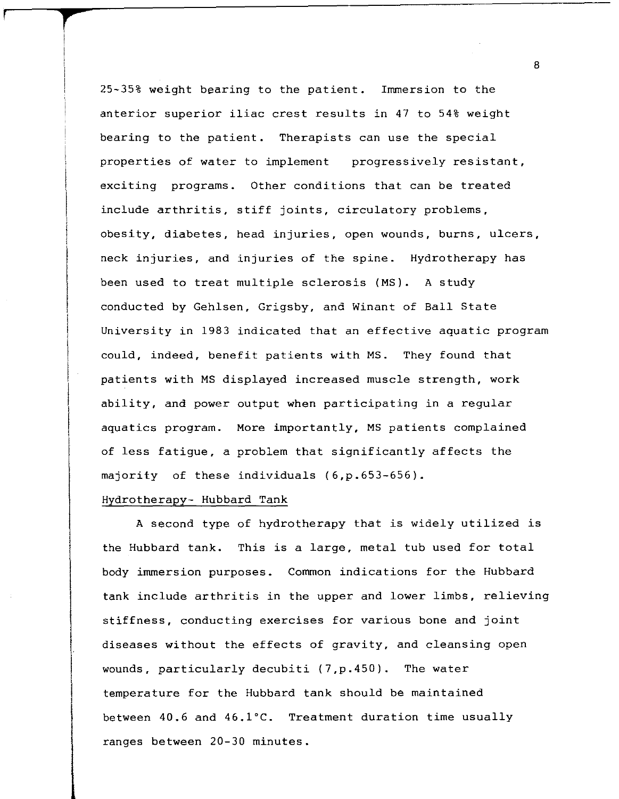25-35% weight bearing to the patient. Immersion to the anterior superior iliac crest results in 47 to 54% weight bearing to the patient. Therapists can use the special properties of water to implement progressively resistant, exciting programs. Other conditions that can be treated include arthritis, stiff joints, circulatory problems, obesity, diabetes, head injuries, open wounds, burns, ulcers, neck injuries, and injuries of the spine. Hydrotherapy has been used to treat multiple sclerosis (MS). A study conducted by Gehlsen, Grigsby, and Winant of Ball State University in 1983 indicated that an effective aquatic program could, indeed, benefit patients with MS. They found that patients with MS displayed increased muscle strength, work ability, and power output when participating in a regular aquatics program. More importantly, MS patients complained of less fatigue, a problem that significantly affects the majority of these individuals (6,p.653-656).

### Hydrotherapy- Hubbard Tank

**r r** 

A second type of hydrotherapy that is widely utilized is the Hubbard tank. This is a large, metal tub used for total body immersion purposes. Common indications for the Hubbard tank include arthritis in the upper and lower limbs, relieving stiffness, conducting exercises for various bone and joint diseases without the effects of gravity, and cleansing open wounds, particularly decubiti (7,p.450). The water temperature for the Hubbard tank should be maintained between 40.6 and 46.1°C. Treatment duration time usually ranges between 20-30 minutes.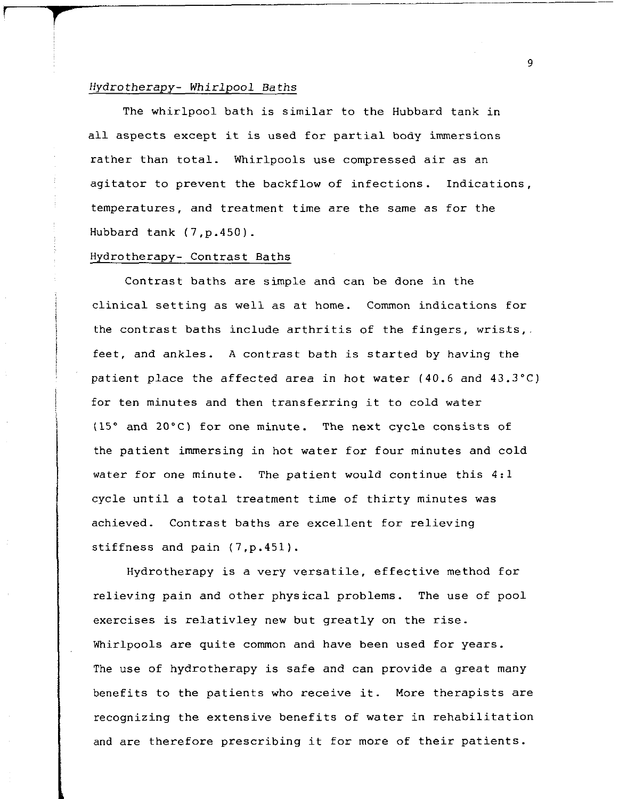### *Hydrotherapy- Whirlpool* Baths

<sup>r</sup>*r* 

The whirlpool bath is similar to the Hubbard tank in all aspects except it is used for partial body immersions rather than total. Whirlpools use compressed air as an agitator to prevent the backflow of infections. Indications, temperatures, and treatment time are the same as for the Hubbard tank (7,p.450).

### Hydrotherapy- Contrast Baths

Contrast baths are simple and can be done in the clinical setting as well as at home. Common indications for the contrast baths include arthritis of the fingers, wrists,. feet, and ankles. A contrast bath is started by having the patient place the affected area in hot water (40.6 and 43.3°C) for ten minutes and then transferring it to cold water (15° and 20°C) for one minute. The next cycle consists of the patient immersing in hot water for four minutes and cold water for one minute. The patient would continue this 4:1 cycle until a total treatment time of thirty minutes was achieved. Contrast baths are excellent for relieving stiffness and pain (7,p.451).

Hydrotherapy is a very versatile, effective method for relieving pain and other physical problems. The use of pool exercises is relativley new but greatly on the rise. Whirlpools are quite common and have been used for years. The use of hydrotherapy is safe and can provide a great many benefits to the patients who receive it. More therapists are recognizing the extensive benefits of water in rehabilitation and are therefore prescribing it for more of their patients.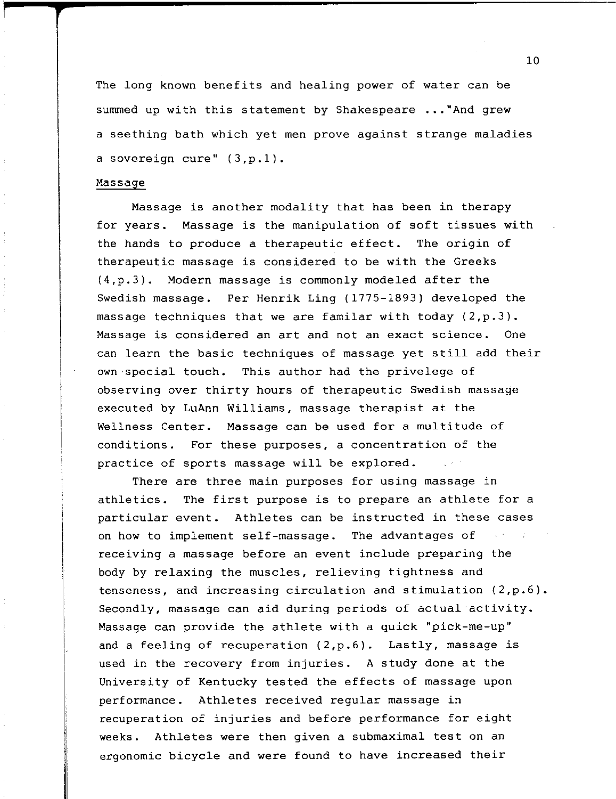The long known benefits and healing power of water can be summed up with this statement by Shakespeare ... "And grew a seething bath which yet men prove against strange maladies a sovereign cure" (3,p.1).

### Massage

Massage is another modality that has been in therapy for years. Massage is the manipulation of soft tissues with the hands to produce a therapeutic effect. The origin of therapeutic massage is considered to be with the Greeks (4,p.3). Modern massage is commonly modeled after the Swedish massage. Per Henrik Ling (1775-1893) developed the massage techniques that we are familar with today (2,p.3). Massage is considered an art and not an exact science. One can learn the basic techniques of massage yet still add their own special touch. This author had the privelege of observing over thirty hours of therapeutic Swedish massage executed by LuAnn Williams, massage therapist at the Wellness Center. Massage can be used for a multitude of conditions. For these purposes, a concentration of the practice of sports massage will be explored.

There are three main purposes for using massage in athletics. The first purpose is to prepare an athlete for a particular event. Athletes can be instructed in these cases on how to implement self-massage. The advantages of receiving a massage before an event include preparing the body by relaxing the muscles, relieving tightness and tenseness, and increasing circulation and stimulation (2,p.6). Secondly, massage can aid during periods of actual activity. Massage can provide the athlete with a quick "pick-me-up" and a feeling of recuperation (2,p.6). Lastly, massage is used in the recovery from injuries. A study done at the University of Kentucky tested the effects of massage upon performance. Athletes received regular massage in recuperation of injuries and before performance for eight weeks. Athletes were then given a submaximal test on an ergonomic bicycle and were found to have increased their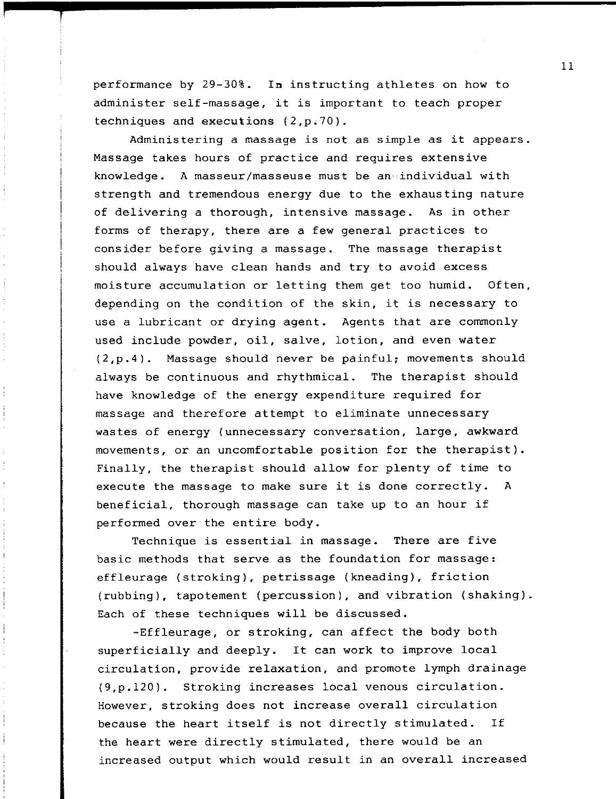performance by 29-30%. **In** instructing athletes on how to administer self-massage, it is important to teach proper techniques and executions  $(2,p.70)$ .

Administering a massage is not as simple as it appears. Massage takes hours of practice and requires extensive knowledge. A masseur/masseuse must be an' individual with strength and tremendous energy due to the exhausting nature of delivering a thorough, intensive massage. As in other forms of therapy, there are a few general practices to consider before giving a massage. The massage therapist should always have clean hands and try to avoid excess moisture accumulation or letting them get too humid. Often, depending on the condition of the skin, it is necessary to use a lubricant or drying agent. Agents that are commonly used include powder, oil, salve, lotion, and even water (2,p.4). Massage should never be painful; movements should always be continuous and rhythmical. The therapist should have knowledge of the energy expenditure required for massage and therefore attempt to eliminate unnecessary wastes of energy (unnecessary conversation, large, awkward movements, or an uncomfortable position for the therapist). Finally, the therapist should allow for plenty of time to execute the massage to make sure it is done correctly. A beneficial, thorough massage can take up to an hour if performed over the entire body.

Technique is essential in massage. There are five basic methods that serve as the foundation for massage: effleurage (stroking), petrissage (kneading), friction (rubbing), tapotement (percussion), and vibration (shaking). Each of these techniques will be discussed.

-Effleurage, or stroking, can affect the body both superficially and deeply. It can work to improve local circulation, provide relaxation, and promote lymph drainage (9,p.120). Stroking increases local venous circulation. However, stroking does not increase overall circulation because the heart itself is not directly stimulated. If the heart were directly stimulated, there would be an increased output which would result in an overall increased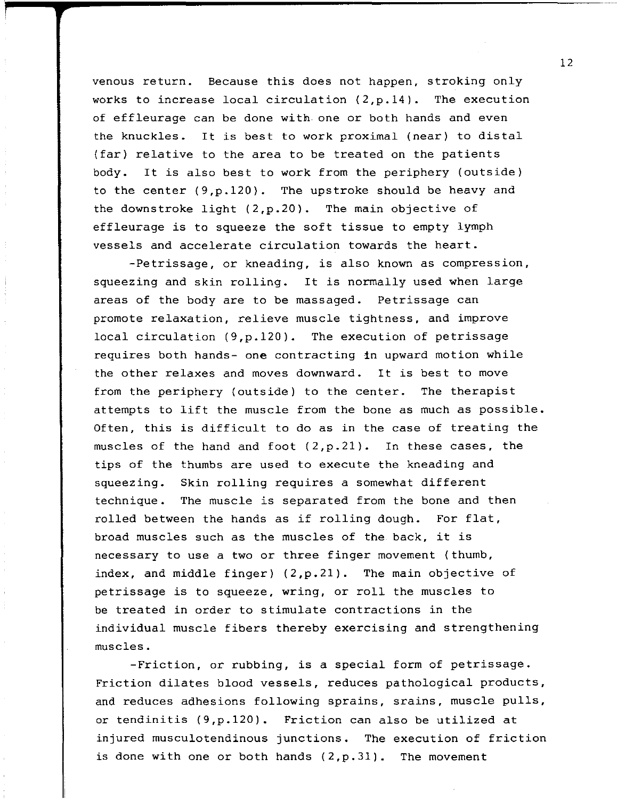venous return. Because this does not happen, stroking only works to increase local circulation  $(2,p.14)$ . The execution of effleurage can be done with one or both hands and even the knuckles. It is best to work proximal (near) to distal (far) relative to the area to be treated on the patients body. It is also best to work from the periphery (outside) to the center (9,p.120). The upstroke should be heavy and the downstroke light (2,p.20). The main objective of effleurage is to squeeze the soft tissue to empty lymph vessels and accelerate circulation towards the heart.

-Petrissage, or kneading, is also known as compression, squeezing and skin rolling. It is normally used when large areas of the body are to be massaged. Petrissage can promote relaxation, relieve muscle tightness, and improve local circulation (9,p.120). The execution of petrissage requires both hands- one contracting in upward motion while the other relaxes and moves downward. It is best to move from the periphery (outside) to the center. The therapist attempts to lift the muscle from the bone as much as possible. Often, this is difficult to do as in the case of treating the muscles of the hand and foot (2,p.2l). In these cases, the tips of the thumbs are used to execute the kneading and squeezing. Skin rolling requires a somewhat different technique. The muscle is separated from the bone and then rolled between the hands as if rolling dough. For flat, broad muscles such as the muscles of the back, it is necessary to use a two or three finger movement (thumb, index, and middle finger) (2,p.2l). The main objective of petrissage is to squeeze, wring, or roll the muscles to be treated in order to stimulate contractions in the individual muscle fibers thereby exercising and strengthening muscles.

-Friction, or rubbing, is a special form of petrissage. Friction dilates blood vessels, reduces pathological products, and reduces adhesions following sprains, srains, muscle pulls, or tendinitis (9,p.120). Friction can also be utilized at injured musculotendinous junctions. The execution of friction is done with one or both hands  $(2,p.31)$ . The movement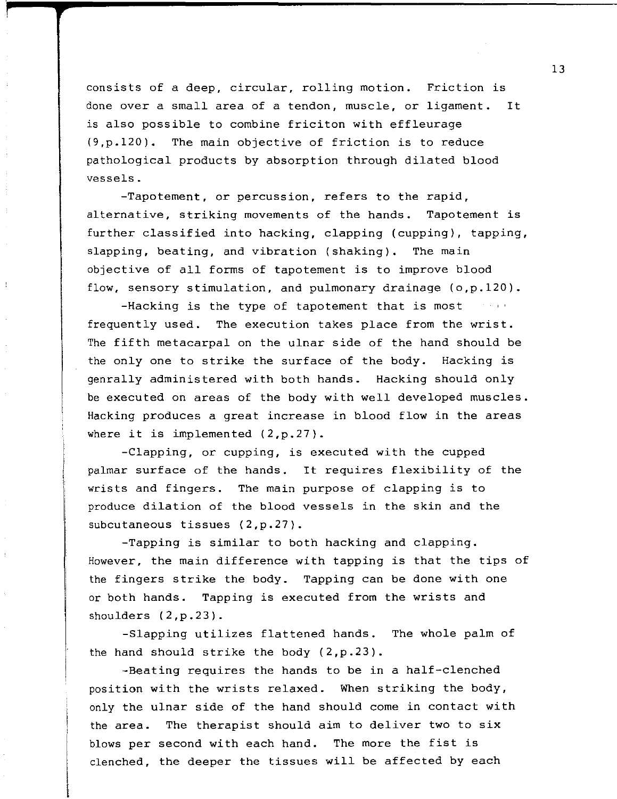consists of a deep, circular, rolling motion. Friction is done over a small area of a tendon, muscle, or ligament. It is also possible to combine friciton with effleurage (9,p.120). The main objective of friction is to reduce pathological products by absorption through dilated blood vessels.

-Tapotement, or percussion, refers to the rapid, alternative, striking movements of the hands. Tapotement is further classified into hacking, clapping (cupping), tapping, slapping, beating, and vibration (shaking). The main objective of all forms of tapotement is to improve blood flow, sensory stimulation, and pulmonary drainage (o,p.120).

 $-Hacking$  is the type of tapotement that is most frequently used. The execution takes place from the wrist. The fifth metacarpal on the ulnar side of the hand should be the only one to strike the surface of the body. Hacking is genrally administered with both hands. Hacking should only be executed on areas of the body with well developed muscles. Hacking produces a great increase in blood flow in the areas where it is implemented (2,p.27).

-Clapping, or cupping, is executed with the cupped palmar surface of the hands. It requires flexibility of the wrists and fingers. The main purpose of clapping is to produce dilation of the blood vessels in the skin and the subcutaneous tissues (2,p.27).

-Tapping is similar to both hacking and clapping. However, the main difference with tapping is that the tips of the fingers strike the body. Tapping can be done with one or both hands. Tapping is executed from the wrists and shoulders (2,p.23).

-Slapping utilizes flattened hands. The whole palm of the hand should strike the body (2,p.23).

-Beating requires the hands to be in a half-clenched position with the wrists relaxed. When striking the body, only the ulnar side of the hand should come in contact with the area. The therapist should aim to deliver two to six blows per second with each hand. The more the fist is clenched, the deeper the tissues will be affected by each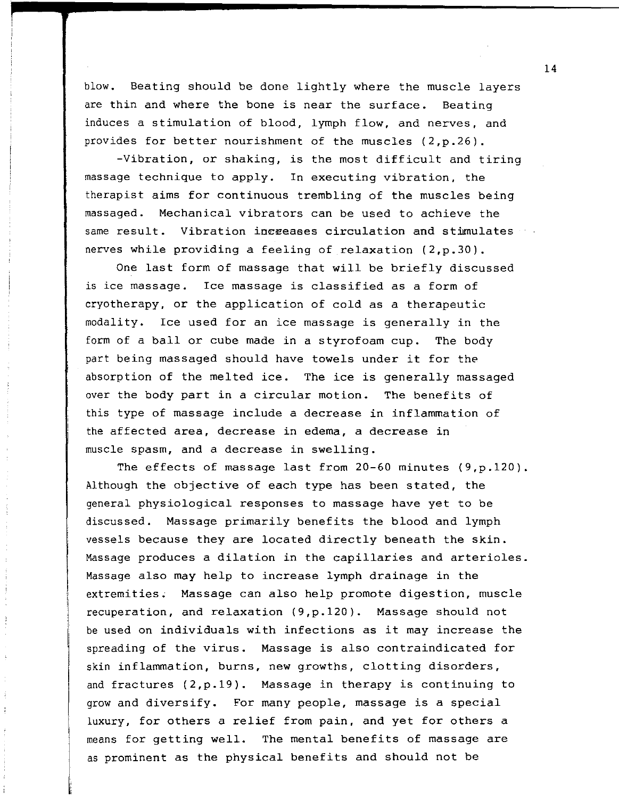blow. Beating should be done lightly where the muscle layers are thin and where the bone is near the surface. Beating induces a stimulation of blood, lymph flow, and nerves, and provides for better nourishment of the muscles (2,p.26).

-Vibration, or shaking, is the most difficult and tiring massage technique to apply. In executing vibration, the therapist aims for continuous trembling of the muscles being massaged. Mechanical vibrators can be used to achieve the same result. Vibration increases circulation and stimulates nerves while providing a feeling of relaxation (2,p.30).

One last form of massage that will be briefly discussed is ice massage. Ice massage is classified as a form of cryotherapy, or the application of cold as a therapeutic modality. Ice used for an ice massage is generally in the form of a ball or cube made in a styrofoam cup. The body part being massaged should have towels under it for the absorption of the melted ice. The ice is generally massaged over the body part in a circular motion. The benefits of this type of massage include a decrease in inflammation of the affected area, decrease in edema, a decrease in muscle spasm, and a decrease in swelling.

The effects of massage last from 20-60 minutes (9,p.120). Although the objective of each type has been stated, the general physiological responses to massage have yet to be discussed. Massage primarily benefits the blood and lymph vessels because they are located directly beneath the skin. Massage produces a dilation in the capillaries and arterioles. Massage also may help to increase lymph drainage in the extremities. Massage can also help promote digestion, muscle recuperation, and relaxation (9,p.120). Massage should not be used on individuals with infections as it may increase the spreading of the virus. Massage is also contraindicated for skin inflammation, burns, new growths, clotting disorders, and fractures (2,p.19). Massage in therapy is continuing to grow and diversify. For many people, massage is a special luxury, for others a relief from pain, and yet for others a means for getting well. The mental benefits of massage are as prominent as the physical benefits and should not be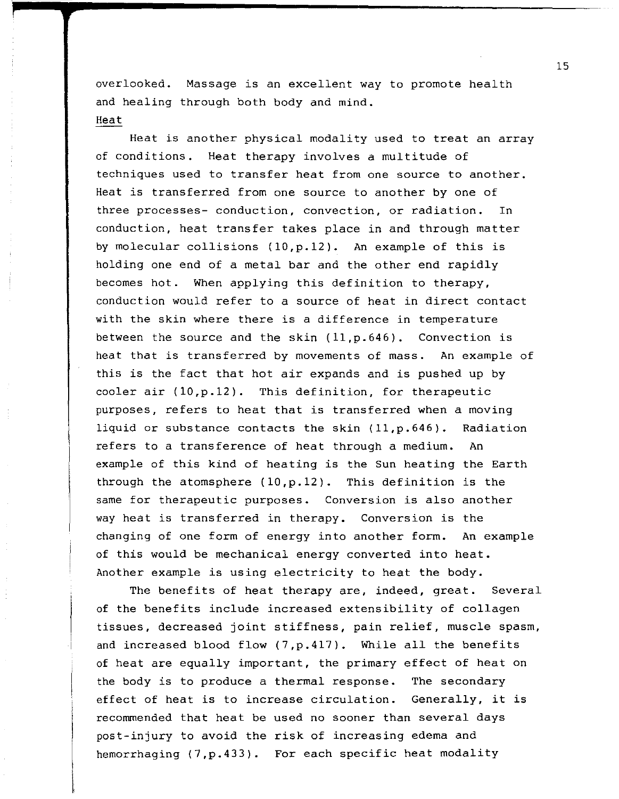overlooked. Massage is an excellent way to promote health and healing through both body and mind. Heat

Heat is another physical modality used to treat an array of conditions. Heat therapy involves a multitude of techniques used to transfer heat from one source to another. Heat is transferred from one source to another by one of three processes- conduction, convection, or radiation. In conduction, heat transfer takes place in and through matter by molecular collisions (10,p.12). An example of this is holding one end of a metal bar and the other end rapidly becomes hot. When applying this definition to therapy, conduction would refer to a source of heat in direct contact with the skin where there is a difference in temperature between the source and the skin (11,p.646). Convection is heat that is transferred by movements of mass. An example of this is the fact that hot air expands and is pushed up by cooler air (10,p.12). This definition, for therapeutic purposes, refers to heat that is transferred when a moving liquid or substance contacts the skin (11,p.646). Radiation refers to a transference of heat through a medium. An example of this kind of heating is the Sun heating the Earth through the atomsphere (10,p.12). This definition is the same for therapeutic purposes. Conversion is also another way heat is transferred in therapy. Conversion is the changing of one form of energy into another form. An example of this would be mechanical energy converted into heat. Another example is using electricity to heat the body.

The benefits of heat therapy are, indeed, great. Several of the benefits include increased extensibility of collagen tissues, decreased joint stiffness, pain relief, muscle spasm, and increased blood flow (7,p.417). While all the benefits of heat are equally important, the primary effect of heat on the body is to produce a thermal response. The secondary effect of heat is to increase circulation. Generally, it is recommended that heat be used no sooner than several days post-injury to avoid the risk of increasing edema and hemorrhaging (7,p.433). For each specific heat modality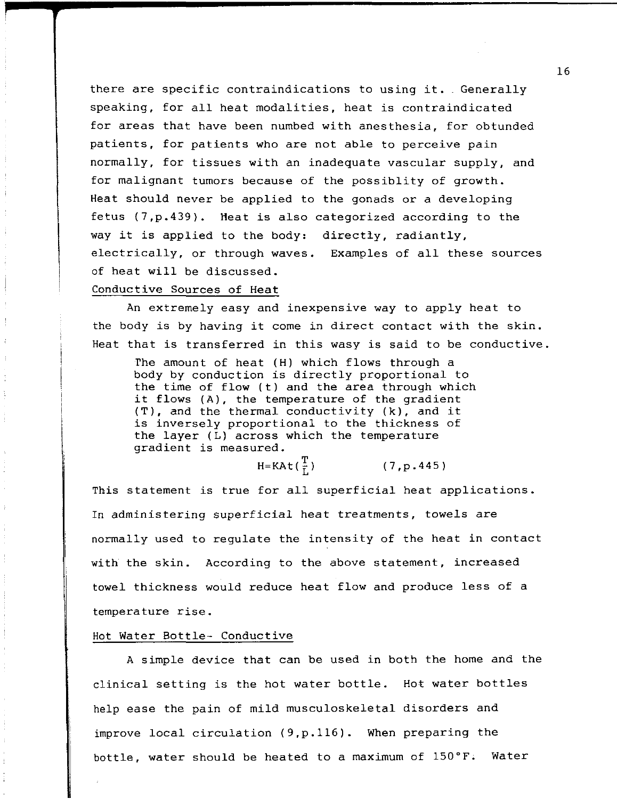there are specific contraindications to using it. Generally speaking, for all heat modalities, heat is contraindicated for areas that have been numbed with anesthesia, for obtunded patients, for patients who are not able to perceive pain normally, for tissues with an inadequate vascular supply, and for malignant tumors because of the possiblity of growth. Heat should never be applied to the gonads or a developing fetus (7,p.439). Heat is also categorized according to the way it is applied to the body: directly, radiantly, electrically, or through waves. Examples of all these sources of heat will be discussed.

### Conductive Sources of Heat

An extremely easy and inexpensive way to apply heat to the body is by having it come in direct contact with the skin. Heat that is transferred in this wasy is said to be conductive.

The amount of heat (H) which flows through a body by conduction is directly proportional to the time of flow (t) and the area through which it flows (A), the temperature of the gradient (T), and the thermal conductivity (k), and it is inversely proportional to the thickness of the layer (L) across which the temperature gradient is measured.

 $H=KAt(\frac{T}{r})$  (7, p. 445)

This statement is true for all superficial heat applications. In administering superficial heat treatments, towels are normally used to regulate the intensity of the heat in contact with the skin. According to the above statement, increased towel thickness would reduce heat flow and produce less of a temperature rise.

### Hot Water Bottle- Conductive

A simple device that can be used in both the home and the clinical setting is the hot water bottle. Hot water bottles help ease the pain of mild musculoskeletal disorders and improve local circulation (9,p.116). When preparing the bottle, water should be heated to a maximum of  $150\textdegree F$ . Water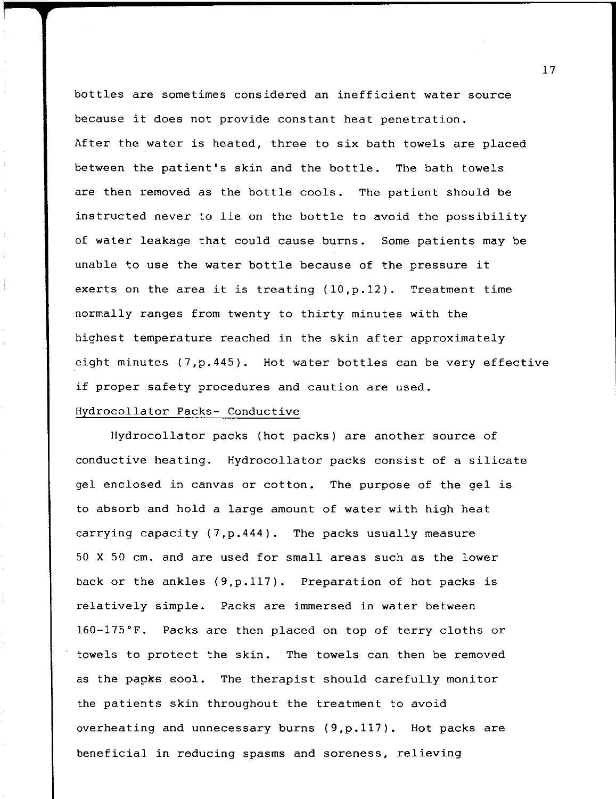bottles are sometimes considered an inefficient water source because it does not provide constant heat penetration. After the water is heated, three to six bath towels are placed between the patient's skin and the bottle. The bath towels are then removed as the bottle cools. The patient should be instructed never to lie on the bottle to avoid the possibility of water leakage that could cause burns. Some patients may be unable to use the water bottle because of the pressure it exerts on the area it is treating  $(10, p.12)$ . Treatment time normally ranges from twenty to thirty minutes with the highest temperature reached in the skin after approximately eight minutes (7,p.445). Hot water bottles can be very effective if proper safety procedures and caution are used.

# Hydrocollator Packs- Conductive

Hydrocollator packs (hot packs) are another source of conductive heating. Hydrocollator packs consist of a silicate gel enclosed in canvas or cotton. The purpose of the gel is to absorb and hold a large amount of water with high heat carrying capacity (7,p.444). The packs usually measure 50 X 50 cm. and are used for small areas such as the lower back or the ankles (9,p.117). Preparation of hot packs is relatively simple. Packs are immersed in water between l60-l75°F. Packs are then placed on top of terry cloths or towels to protect the skin. The towels can then be removed as the papks sool. The therapist should carefully monitor the patients skin throughout the treatment to avoid overheating and unnecessary burns (9,p.117). Hot packs are beneficial in reducing spasms and soreness, relieving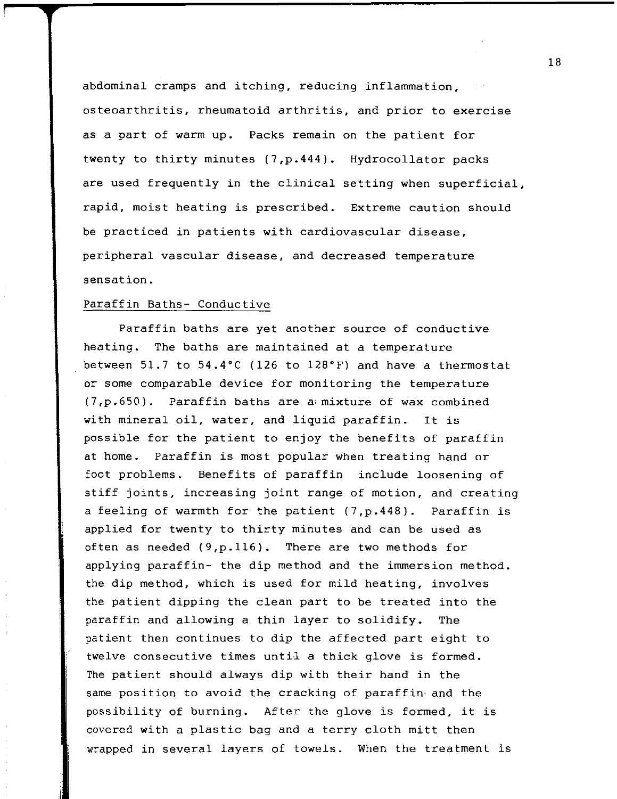abdominal cramps and itching, reducing inflammation, osteoarthritis, rheumatoid arthritis, and prior to exercise as a part of warm up. Packs remain on the patient for twenty to thirty minutes (7,p.444). Hydrocollator packs are used frequently in the clinical setting when superficial, rapid, moist heating is prescribed. Extreme caution should be practiced in patients with cardiovascular disease, peripheral vascular disease, and decreased temperature sensation.

#### Paraffin Baths- Conductive

Paraffin baths are yet another source of conductive heating. The baths are maintained at a temperature between 51.7 to 54.4°C (126 to 128°F) and have a thermostat or some comparable device for monitoring the temperature  $(7,p.650)$ . Paraffin baths are a mixture of wax combined with mineral oil, water, and liquid paraffin. It is possible for the patient to enjoy the benefits of paraffin at home. Paraffin is most popular when treating hand or i foot problems. Benefits of paraffin include loosening of stiff joints, increasing joint range of motion, and creating a feeling of warmth for the patient (7,p.448). Paraffin is applied for twenty to thirty minutes and can be used as often as needed (9,p.116). There are two methods for applying paraffin- the dip method and the immersion method. the dip method, which is used for mild heating, involves the patient dipping the clean part to be treated into the paraffin and allowing a thin layer to solidify. The patient then continues to dip the affected part eight to twelve consecutive times until a thick glove is formed. The patient should always dip with their hand in the same position to avoid the cracking of paraffin· and the possibility of burning. After the glove is formed, it is covered with a plastic bag and a terry cloth mitt then wrapped in several layers of towels. When the treatment is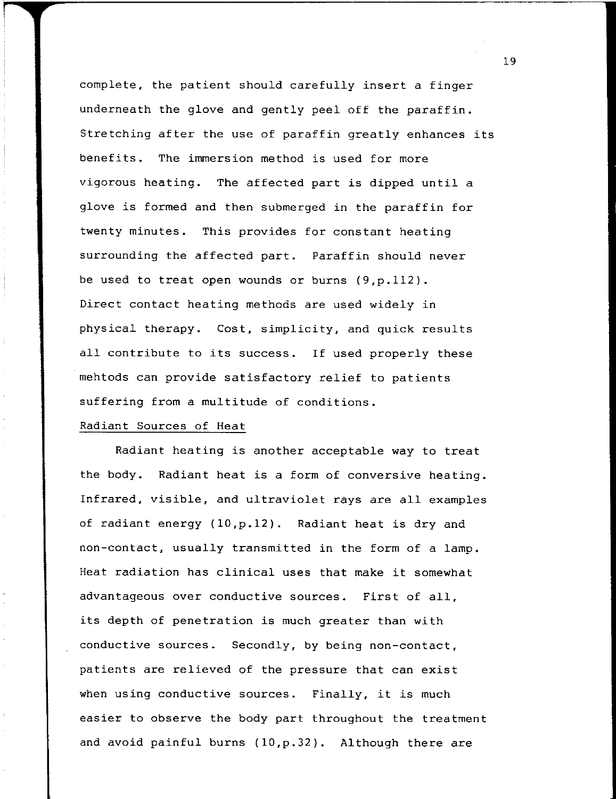complete, the patient should carefully insert a finger underneath the glove and gently peel off the paraffin. Stretching after the use of paraffin greatly enhances its benefits. The immersion method is used for more vigorous heating. The affected part is dipped until a glove is formed and then submerged in the paraffin for twenty minutes. This provides for constant heating surrounding the affected part. Paraffin should never be used to treat open wounds or burns (9,p.112). Direct contact heating methods are used widely in physical therapy. Cost, simplicity, and quick results all contribute to its success. If used properly these mehtods can provide satisfactory relief to patients suffering from a multitude of conditions.

#### Radiant Sources of Heat

Radiant heating is another acceptable way to treat the body. Radiant heat is a form of conversive heating. Infrared, visible, and ultraviolet rays are all examples of radiant energy (10,p.12). Radiant heat is dry and non-contact, usually transmitted in the form of a lamp. Heat radiation has clinical uses that make it somewhat advantageous over conductive sources. First of all, its depth of penetration is much greater than with conductive sources. Secondly, by being non-contact, patients are relieved of the pressure that can exist when using conductive sources. Finally, it is much easier to observe the body part throughout the treatment and avoid painful burns (10,p.32). Although there are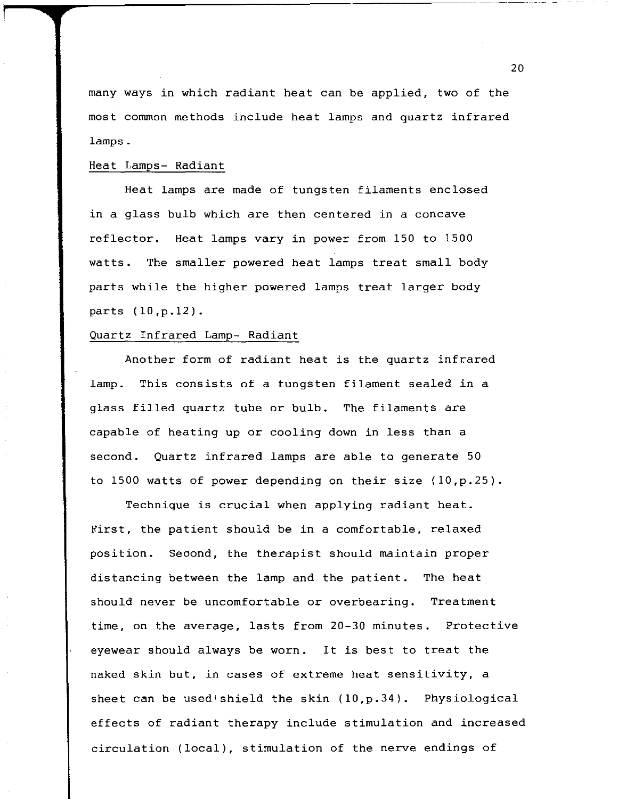many ways in which radiant heat can be applied, two of the most common methods include heat lamps and quartz infrared lamps.

# Heat Lamps- Radiant

Heat lamps are made of tungsten filaments enclosed in a glass bulb which are then centered in a concave reflector. Heat lamps vary in power from 150 to 1500 watts. The smaller powered heat lamps treat small body parts while the higher powered lamps treat larger body parts (10,p.12).

### Quartz Infrared Lamp- Radiant

Another form of radiant heat is the quartz infrared lamp. This consists of a tungsten filament sealed in a glass filled quartz tube or bulb. The filaments are capable of heating up or cooling down in less than a second. Quartz infrared lamps are able to generate 50 to 1500 watts of power depending on their size (10,p.25).

Technique is crucial when applying radiant heat. First, the patient should be in a comfortable, relaxed position. Seoond, the therapist should maintain proper distancing between the lamp and the patient. The heat should never be uncomfortable or overbearing. Treatment time, on the average, lasts from 20-30 minutes. Protective eyewear should always be worn. It is best to treat the naked skin but, in cases of extreme heat sensitivity, a sheet can be used'shield the skin (10,p.34). Physiological effects of radiant therapy include stimulation and increased circulation (local), stimulation of the nerve endings of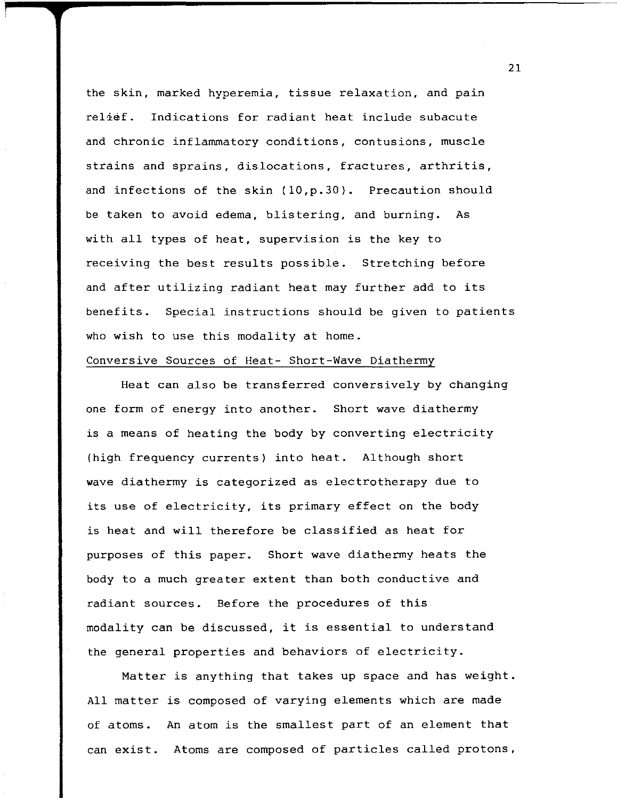the skin, marked hyperemia, tissue relaxation, and pain relief. Indications for radiant heat include subacute and chronic inflammatory conditions, contusions, muscle strains and sprains, dislocations, fractures, arthritis, and infections of the skin (10,p.30). Precaution should be taken to avoid edema, blistering, and burning. As with all types of heat, supervision is the key to receiving the best results possible. Stretching before and after utilizing radiant heat may further add to its benefits. Special instructions should be given to patients who wish to use this modality at home.

### Conversive Sources of Heat- Short-Wave Diathermy

Heat can also be transferred conversively by changing one form of energy into another. Short wave diathermy is a means of heating the body by converting electricity (high frequency currents) into heat. Although short wave diathermy is categorized as electrotherapy due to its use of electricity, its primary effect on the body is heat and will therefore be classified as heat for purposes of this paper. Short wave diathermy heats the body to a much greater extent than both conductive and radiant sources. Before the procedures of this modality can be discussed, it is essential to understand the general properties and behaviors of electricity.

Matter is anything that takes up space and has weight. All matter is composed of varying elements which are made of atoms. An atom is the smallest part of an element that can exist. Atoms are composed of particles called protons,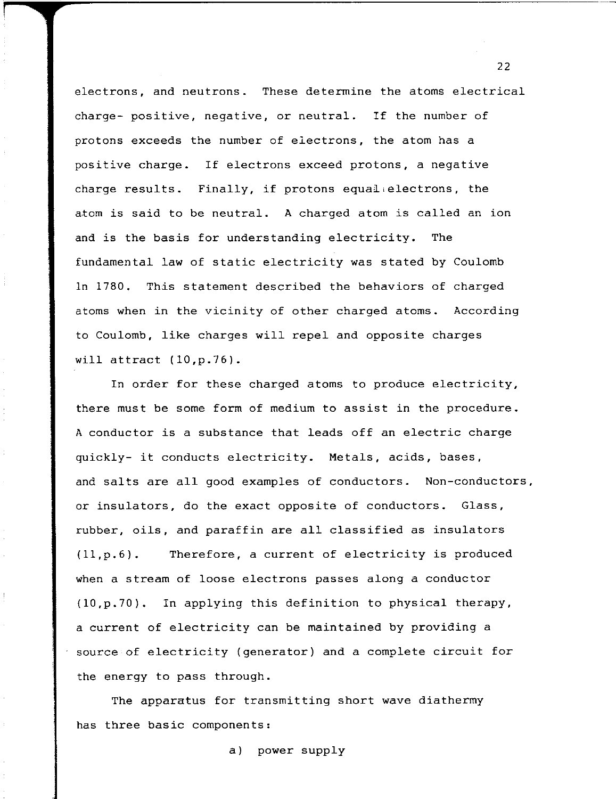electrons, and neutrons. These determine the atoms electrical charge- positive, negative, or neutral. If the number of protons exceeds the number of electrons, the atom has a positive charge. If electrons exceed protons, a negative charge results. Finally, if protons equal electrons, the atom is said to be neutral. A charged atom is called an ion and is the basis for understanding electricity. The fundamental law of static electricity was stated by Coulomb In 1780. This statement described the behaviors of charged atoms when in the vicinity of other charged atoms. According to Coulomb, like charges will repel and opposite charges will attract (10,p.76).

In order for these charged atoms to produce electricity, there must be some form of medium to assist in the procedure. A conductor is a substance that leads off an electric charge quickly- it conducts electricity. Metals, acids, bases, and salts are all good examples of conductors. Non-conductors, or insulators, do the exact opposite of conductors. Glass, rubber, oils, and paraffin are all classified as insulators (ll,p.6). Therefore, a current of electricity is produced when a stream of loose electrons passes along a conductor (10,p.70). In applying this definition to physical therapy, a current of electricity can be maintained by providing a source of electricity (generator) and a complete circuit for the energy to pass through.

The apparatus for transmitting short wave diathermy has three basic components:

a) power supply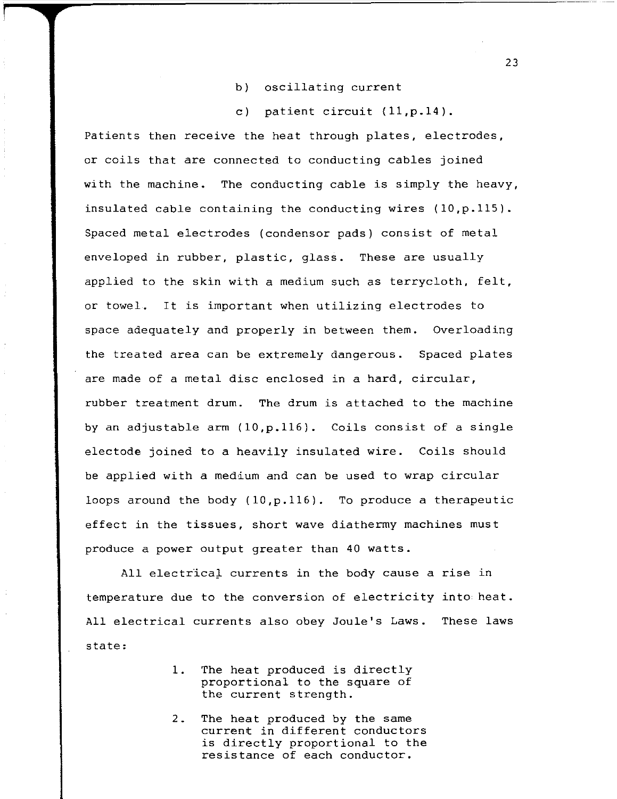- b) oscillating current
- c) patient circuit (ll,p.14).

Patients then receive the heat through plates, electrodes, or coils that are connected to conducting cables joined with the machine. The conducting cable is simply the heavy, insulated cable containing the conducting wires  $(10,p.115)$ . Spaced metal electrodes (condensor pads) consist of metal enveloped in rubber, plastic, glass. These are usually applied to the skin with a medium such as terrycloth, felt, or towel. It is important when utilizing electrodes to space adequately and properly in between them. Overloading the treated area can be extremely dangerous. Spaced plates are made of a metal disc enclosed in a hard, circular, rubber treatment drum. The drum is attached to the machine by an adjustable arm (10,p.116). Coils consist of a single electode joined to a heavily insulated wire. Coils should be applied with a medium and can be used to wrap circular loops around the body  $(10, p.116)$ . To produce a therapeutic effect in the tissues, short wave diathermy machines must produce a power output greater than 40 watts.

All electrical currents in the body cause a rise in temperature due to the conversion of electricity into heat. All electrical currents also obey Joule's Laws. These laws state:

- **1.** The heat produced is directly proportional to the square of the current strength.
- 2. The heat produced by the same current in different conductors is directly proportional to the resistance of each conductor.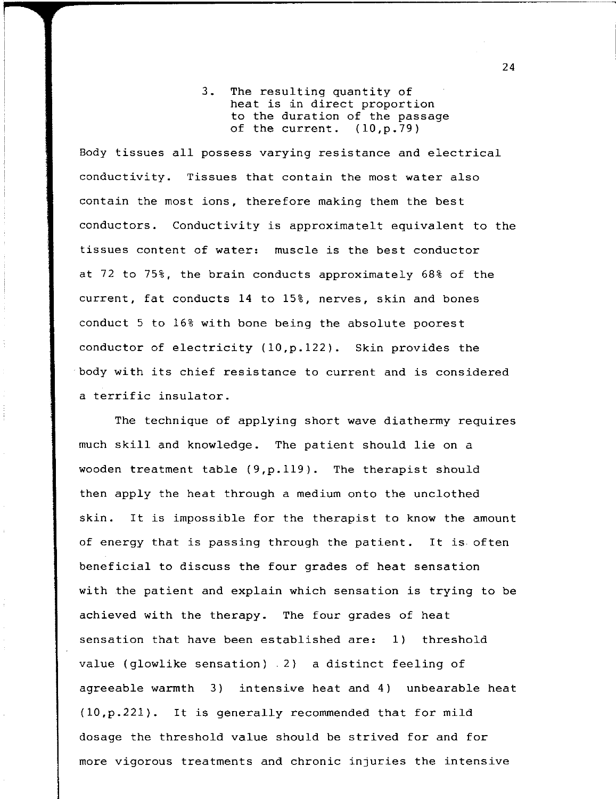3. The resulting quantity of heat is in direct proportion to the duration of the passage of the current.  $(10,p.79)$ 

Body tissues all possess varying resistance and electrical conductivity. Tissues that contain the most water also contain the most ions, therefore making them the best conductors. Conductivity is approximatelt equivalent to the tissues content of water: muscle is the best conductor at 72 to 75%, the brain conducts approximately 68% of the current, fat conducts 14 to 15%, nerves, skin and bones conduct 5 to 16% with bone being the absolute poorest conductor of electricity (lO,p.122). Skin provides the body with its chief resistance to current and is considered a terrific insulator.

The technique of applying short wave diathermy requires much skill and knowledge. The patient should lie on a wooden treatment table (9,p.119). The therapist should then apply the heat through a medium onto the unclothed skin. It is impossible for the therapist to know the amount of energy that is passing through the patient. It is often beneficial to discuss the four grades of heat sensation with the patient and explain which sensation is trying to be achieved with the therapy. The four grades of heat sensation that have been established are: 1) threshold value (glowlike sensation) 2) a distinct feeling of agreeable warmth 3) intensive heat and 4) unbearable heat (lO,p.22l). It is generally recommended that for mild dosage the threshold value should be strived for and for more vigorous treatments and chronic injuries the intensive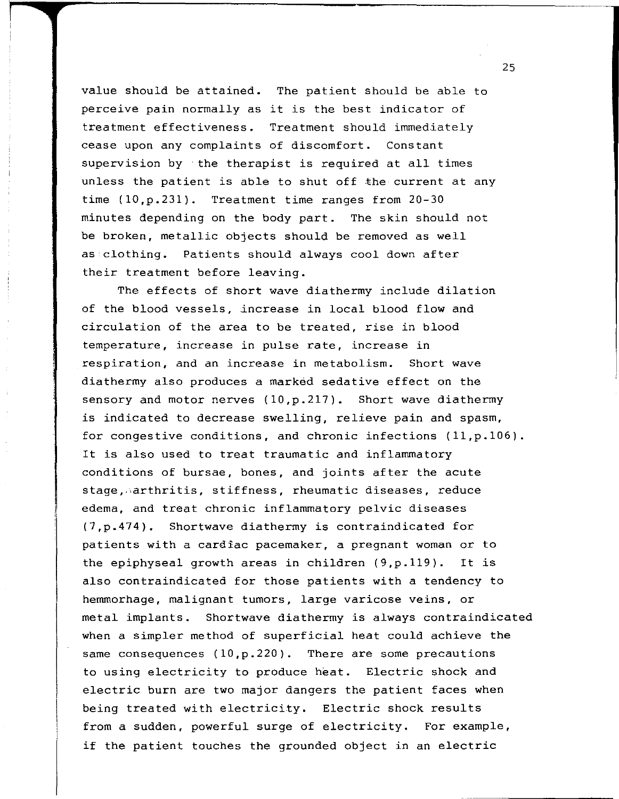value should be attained. The patient should be able to perceive pain normally as it is the best indicator of treatment effectiveness. Treatment should immediately cease upon any complaints of discomfort. Constant supervision by the therapist is required at all times unless the patient is able to shut off the current at any time (10,p.231). Treatment time ranges from 20-30 minutes depending on the body part. The skin should not be broken, metallic objects should be removed as well as clothing. Patients should always cool down after their treatment before leaving.

The effects of short wave diathermy include dilation of the blood vessels, increase in local blood flow and circulation of the area to be treated, rise in blood temperature, increase in pulse rate, increase in respiration, and an increase in metabolism. Short wave diathermy also produces a marked sedative effect on the sensory and motor nerves (10,p.217). Short wave diathermy is indicated to decrease swelling, relieve pain and spasm, for congestive conditions, and chronic infections (11,p.106). It is also used to treat traumatic and inflammatory conditions of bursae, bones, and joints after the acute stage, arthritis, stiffness, rheumatic diseases, reduce edema, and treat chronic inflammatory pelvic diseases (7,p.474). Shortwave diathermy is contraindicated for patients with a cardiac pacemaker, a pregnant woman or to the epiphyseal growth areas in children (9,p.119). It is also contraindicated for those patients with a tendency to hemmorhage, malignant tumors, large varicose veins, or metal implants. Shortwave diathermy is always contraindicated when a simpler method of superficial heat could achieve the same consequences (10,p.220). There are some precautions to using electricity to produce heat. Electric shock and electric burn are two major dangers the patient faces when being treated with electricity. Electric shock results from a sudden, powerful surge of electricity. For example, if the patient touches the grounded object in an electric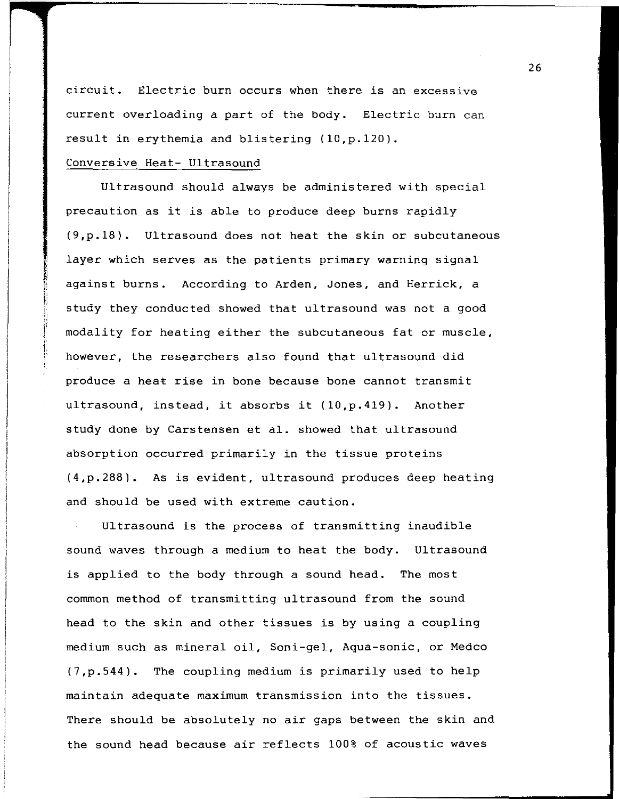circuit. Electric burn occurs when there is an excessive current overloading a part of the body. Electric burn can result in erythemia and blistering (10,p.120).

# Conversive Heat- Ultrasound

Ultrasound should always be administered with special precaution as it is able to produce deep burns rapidly (9,p.18). Ultrasound does not heat the skin or subcutaneous layer which serves as the patients primary warning signal against burns. According to Arden, Jones, and Herrick, a study they conducted showed that ultrasound was not a good modality for heating either the subcutaneous fat or muscle, however, the researchers also found that ultrasound did produce a heat rise in bone because bone cannot transmit ultrasound, instead, it absorbs it (10,p.419). Another study done by Carstensen et al. showed that ultrasound absorption occurred primarily in the tissue proteins (4,p.288). As is evident, ultrasound produces deep heating and should be used with extreme caution.

Ultrasound is the process of transmitting inaudible sound waves through a medium to heat the body. Ultrasound is applied to the body through a sound head. The most common method of transmitting ultrasound from the sound head to the skin and other tissues is by using a coupling medium such as mineral oil, Soni-gel, Aqua-sonic, or Medco (7,p.544). The coupling medium is primarily used to help maintain adequate maximum transmission into the tissues. There should be absolutely no air gaps between the skin and the sound head because air reflects 100% of acoustic waves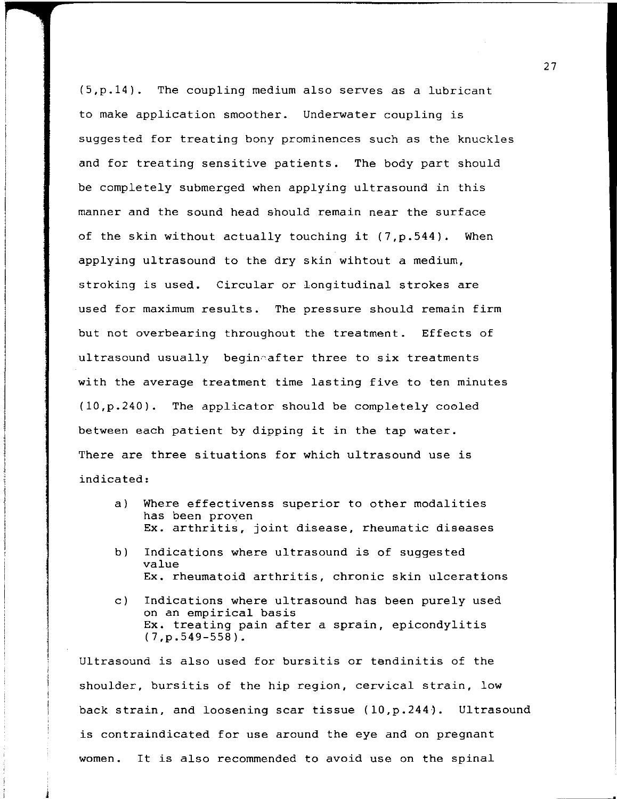(5,p.l4). The coupling medium also serves as a lubricant to make application smoother. Underwater coupling is suggested for treating bony prominences such as the knuckles and for treating sensitive patients. The body part should be completely submerged when applying ultrasound in this manner and the sound head should remain near the surface of the skin without actually touching it (7,p.544). When applying ultrasound to the dry skin wihtout a medium, stroking is used. Circular or longitudinal strokes are used for maximum results. The pressure should remain firm but not overbearing throughout the treatment. Effects of ultrasound usually begineafter three to six treatments with the average treatment time lasting five to ten minutes (lO,p.240). The applicator should be completely cooled between each patient by dipping it in the tap water. There are three situations for which ultrasound use is indicated:

- a) Where effectivenss superior to other modalities has been proven Ex. arthritis, joint disease, rheumatic diseases
- b) Indications where ultrasound is of suggested value Ex. rheumatoid arthritis, chronic skin ulcerations
- c) Indications where ultrasound has been purely used on an empirical basis Ex. treating pain after a sprain, epicondylitis (7,p.549-558).

Ultrasound is also used for bursitis or tendinitis of the shoulder, bursitis of the hip region, cervical strain, low back strain, and loosening scar tissue (lO,p.244). Ultrasound is contraindicated for use around the eye and on pregnant women. It is also recommended to avoid use on the spinal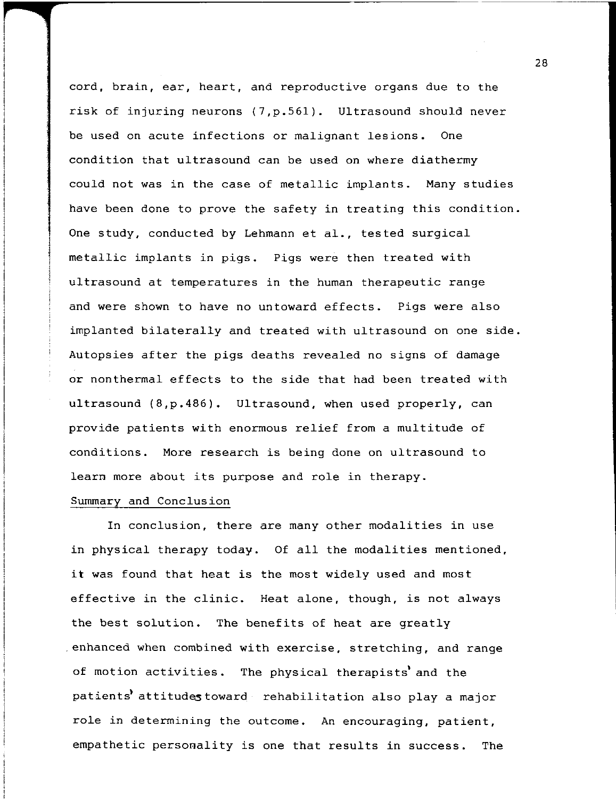cord, brain, ear, heart, and reproductive organs due to the risk of injuring neurons (7,p.561). Ultrasound should never be used on acute infections or malignant lesions. One condition that ultrasound can be used on where diathermy could not was in the case of metallic implants. Many studies have been done to prove the safety in treating this condition. One study, conducted by Lehmann et al., tested surgical metallic implants in pigs. Pigs were then treated with ultrasound at temperatures in the human therapeutic range and were shown to have no untoward effects. Pigs were also implanted bilaterally and treated with ultrasound on one side. Autopsies after the pigs deaths revealed no signs of damage or non thermal effects to the side that had been treated with ultrasound (8,p.486). Ultrasound, when used properly, can provide patients with enormous relief from a multitude of conditions. More research is being done on ultrasound to learn more about its purpose and role in therapy.

### Summary and Conclusion

In conclusion, there are many other modalities in use in physical therapy today. Of all the modalities mentioned, **it** was found that heat is the most widely used and most effective in the clinic. Heat alone, though, is not always the best solution. The benefits of heat are greatly . enhanced when combined with exercise, stretching, and range of motion activities. The physical therapists' and the patients' attitudes toward rehabilitation also play a major role in determining the outcome. An encouraging, patient, empathetic personality is one that results in success. The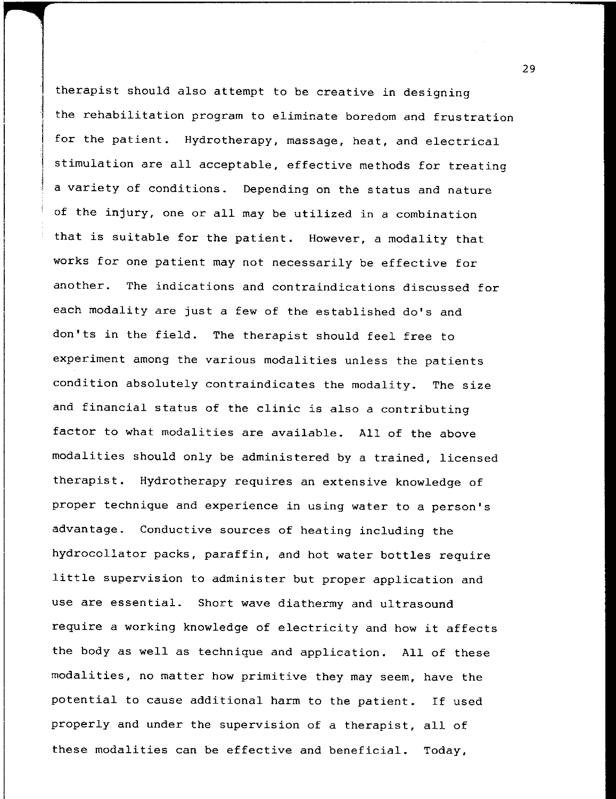therapist should also attempt to be creative in designing the rehabilitation program to eliminate boredom and frustration for the patient. Hydrotherapy, massage, heat, and electrical stimulation are all acceptable, effective methods for treating a variety of conditions. Depending on the status and nature of the injury, one or all may be utilized in a combination that is suitable for the patient. However, a modality that works for one patient may not necessarily be effective for another. The indications and contraindications discussed for each modality are just a few of the established do's and don'ts in the field. The therapist should feel free to experiment among the various modalities unless the patients condition absolutely contraindicates the modality. The size and financial status of the clinic is also a contributing factor to what modalities are available. All of the above modalities should only be administered by a trained, licensed therapist. Hydrotherapy requires an extensive knowledge of proper technique and experience in using water to a person's advantage. Conductive sources of heating including the hydrocollator packs, paraffin, and hot water bottles require little supervision to administer but proper application and use are essential. Short wave diathermy and ultrasound require a working knowledge of electricity and how it affects the body as well as technique and application. All of these modalities, no matter how primitive they may seem, have the potential to cause additional harm to the patient. If used properly and under the supervision of a therapist, all of these modalities can be effective and beneficial. Today,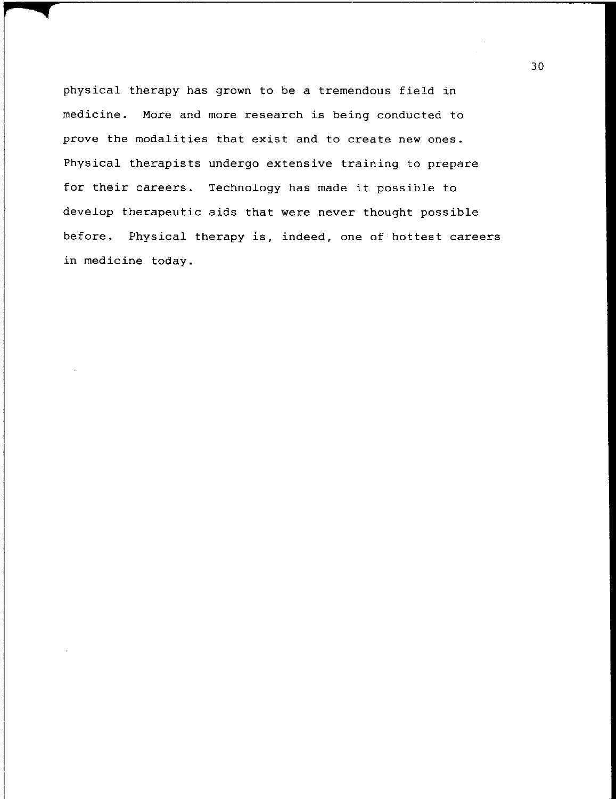physical therapy has grown to be a tremendous field in medicine. More and more research is being conducted to prove the modalities that exist and to create new ones. Physical therapists undergo extensive training to prepare for their careers. Technology has made it possible to develop therapeutic aids that were never thought possible before. Physical therapy is, indeed, one of hottest careers in medicine today.